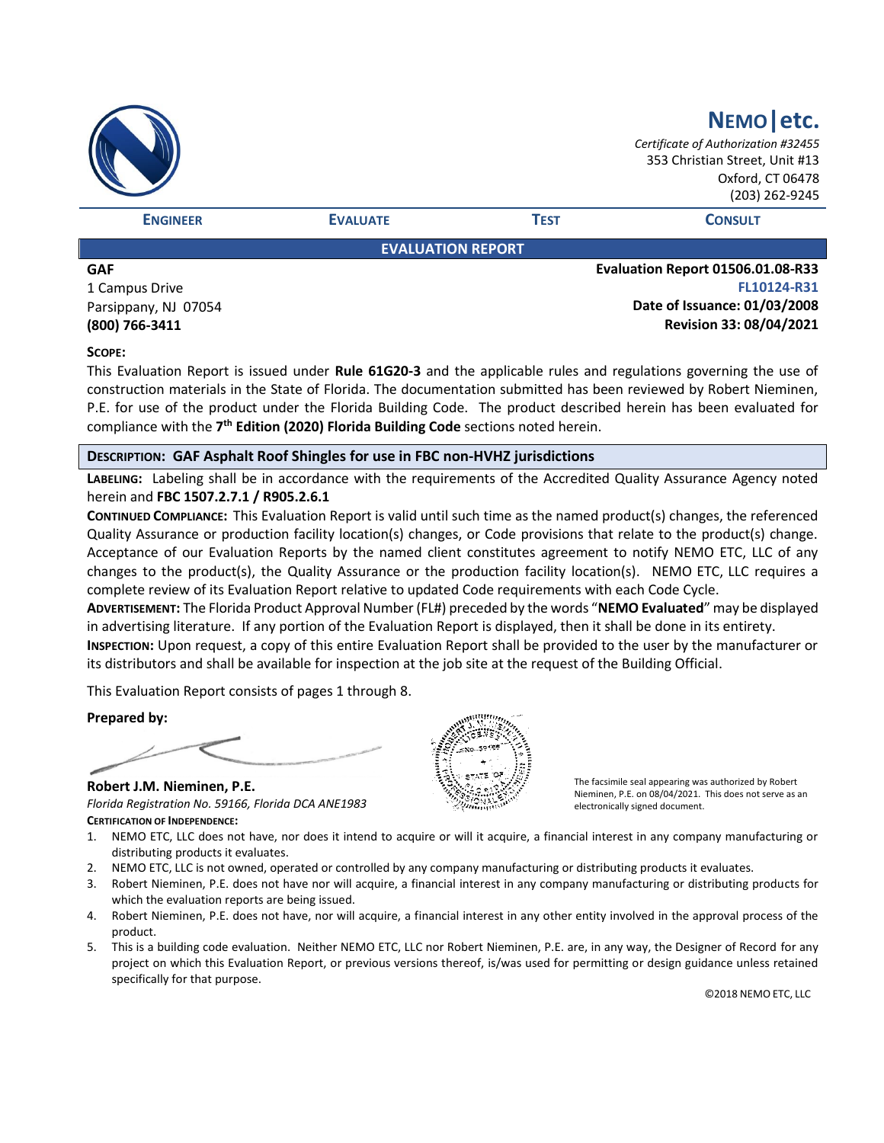|                          |                 |             | NEMO etc.<br>Certificate of Authorization #32455<br>353 Christian Street, Unit #13<br>Oxford, CT 06478<br>(203) 262-9245 |  |
|--------------------------|-----------------|-------------|--------------------------------------------------------------------------------------------------------------------------|--|
| <b>ENGINEER</b>          | <b>EVALUATE</b> | <b>TEST</b> | <b>CONSULT</b>                                                                                                           |  |
| <b>EVALUATION REPORT</b> |                 |             |                                                                                                                          |  |
| <b>GAF</b>               |                 |             | Evaluation Report 01506.01.08-R33                                                                                        |  |
| .<br>- -                 |                 |             | <b>PLAAAAA BAA</b>                                                                                                       |  |

1 Campus Drive Parsippany, NJ 07054 **(800) 766-3411**

**FL10124-R31 Date of Issuance: 01/03/2008 Revision 33: 08/04/2021**

#### **SCOPE:**

This Evaluation Report is issued under **Rule 61G20-3** and the applicable rules and regulations governing the use of construction materials in the State of Florida. The documentation submitted has been reviewed by Robert Nieminen, P.E. for use of the product under the Florida Building Code. The product described herein has been evaluated for compliance with the **7 th Edition (2020) Florida Building Code** sections noted herein.

#### **DESCRIPTION: GAF Asphalt Roof Shingles for use in FBC non-HVHZ jurisdictions**

**LABELING:** Labeling shall be in accordance with the requirements of the Accredited Quality Assurance Agency noted herein and **FBC 1507.2.7.1 / R905.2.6.1**

**CONTINUED COMPLIANCE:** This Evaluation Report is valid until such time as the named product(s) changes, the referenced Quality Assurance or production facility location(s) changes, or Code provisions that relate to the product(s) change. Acceptance of our Evaluation Reports by the named client constitutes agreement to notify NEMO ETC, LLC of any changes to the product(s), the Quality Assurance or the production facility location(s). NEMO ETC, LLC requires a complete review of its Evaluation Report relative to updated Code requirements with each Code Cycle.

**ADVERTISEMENT:** The Florida Product Approval Number (FL#) preceded by the words "**NEMO Evaluated**" may be displayed in advertising literature. If any portion of the Evaluation Report is displayed, then it shall be done in its entirety.

**INSPECTION:** Upon request, a copy of this entire Evaluation Report shall be provided to the user by the manufacturer or its distributors and shall be available for inspection at the job site at the request of the Building Official.

This Evaluation Report consists of pages 1 through 8.

**Prepared by:**

**Robert J.M. Nieminen, P.E.** *Florida Registration No. 59166, Florida DCA ANE1983* **CERTIFICATION OF INDEPENDENCE:**



The facsimile seal appearing was authorized by Robert Nieminen, P.E. on 08/04/2021. This does not serve as an electronically signed document.

- 1. NEMO ETC, LLC does not have, nor does it intend to acquire or will it acquire, a financial interest in any company manufacturing or distributing products it evaluates.
- 2. NEMO ETC, LLC is not owned, operated or controlled by any company manufacturing or distributing products it evaluates.
- 3. Robert Nieminen, P.E. does not have nor will acquire, a financial interest in any company manufacturing or distributing products for which the evaluation reports are being issued.
- 4. Robert Nieminen, P.E. does not have, nor will acquire, a financial interest in any other entity involved in the approval process of the product.
- 5. This is a building code evaluation. Neither NEMO ETC, LLC nor Robert Nieminen, P.E. are, in any way, the Designer of Record for any project on which this Evaluation Report, or previous versions thereof, is/was used for permitting or design guidance unless retained specifically for that purpose.

©2018 NEMO ETC, LLC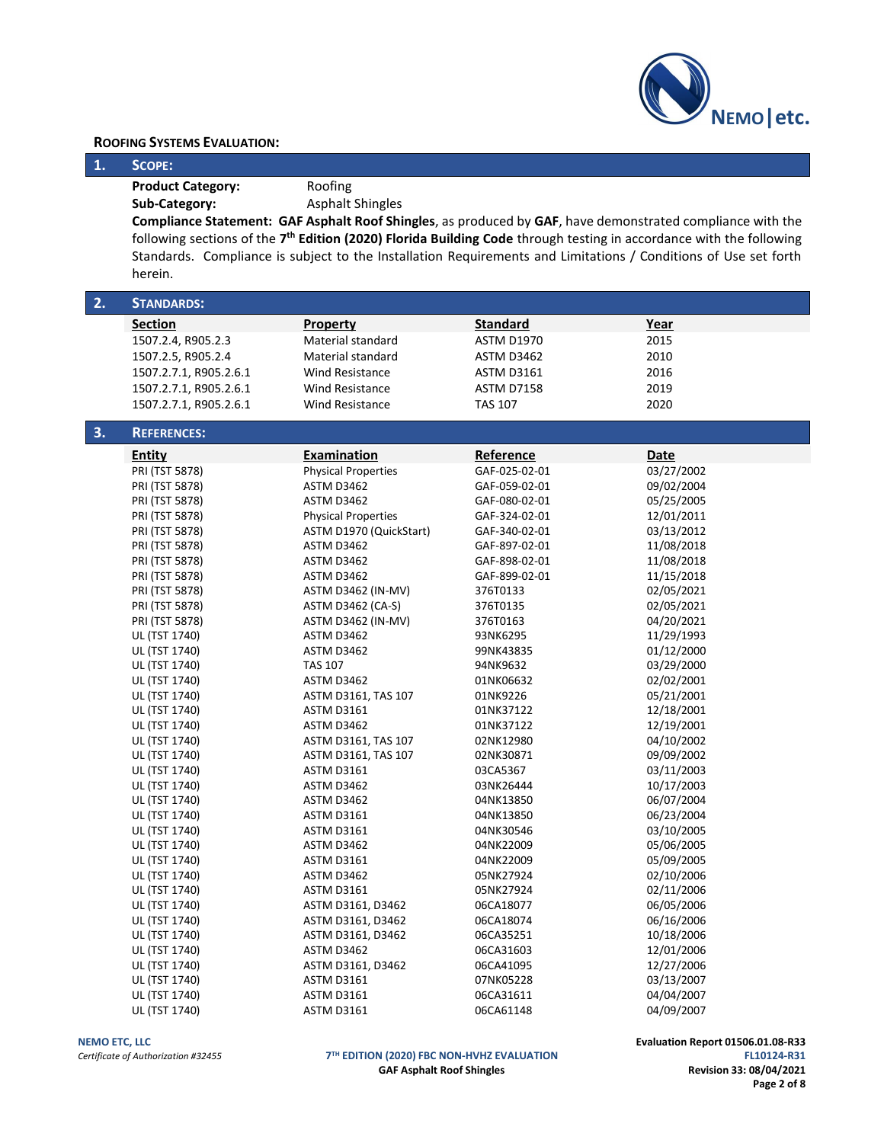

#### **ROOFING SYSTEMS EVALUATION:**

#### **1. SCOPE:**

**Product Category:** Roofing

Sub-Category: Asphalt Shingles

**Compliance Statement: GAF Asphalt Roof Shingles**, as produced by **GAF**, have demonstrated compliance with the following sections of the 7<sup>th</sup> Edition (2020) Florida Building Code through testing in accordance with the following Standards. Compliance is subject to the Installation Requirements and Limitations / Conditions of Use set forth herein.

| 2. | <b>STANDARDS:</b>      |                            |                   |            |
|----|------------------------|----------------------------|-------------------|------------|
|    | <b>Section</b>         | <b>Property</b>            | <b>Standard</b>   | Year       |
|    | 1507.2.4, R905.2.3     | Material standard          | <b>ASTM D1970</b> | 2015       |
|    | 1507.2.5, R905.2.4     | Material standard          | ASTM D3462        | 2010       |
|    | 1507.2.7.1, R905.2.6.1 | Wind Resistance            | <b>ASTM D3161</b> | 2016       |
|    | 1507.2.7.1, R905.2.6.1 | <b>Wind Resistance</b>     | <b>ASTM D7158</b> | 2019       |
|    | 1507.2.7.1, R905.2.6.1 | <b>Wind Resistance</b>     | <b>TAS 107</b>    | 2020       |
|    |                        |                            |                   |            |
| 3. | <b>REFERENCES:</b>     |                            |                   |            |
|    | Entity                 | Examination                | Reference         | Date       |
|    | PRI (TST 5878)         | <b>Physical Properties</b> | GAF-025-02-01     | 03/27/2002 |
|    | PRI (TST 5878)         | ASTM D3462                 | GAF-059-02-01     | 09/02/2004 |
|    | PRI (TST 5878)         | ASTM D3462                 | GAF-080-02-01     | 05/25/2005 |
|    | PRI (TST 5878)         | <b>Physical Properties</b> | GAF-324-02-01     | 12/01/2011 |
|    | PRI (TST 5878)         | ASTM D1970 (QuickStart)    | GAF-340-02-01     | 03/13/2012 |
|    | PRI (TST 5878)         | ASTM D3462                 | GAF-897-02-01     | 11/08/2018 |
|    | PRI (TST 5878)         | ASTM D3462                 | GAF-898-02-01     | 11/08/2018 |
|    | PRI (TST 5878)         | ASTM D3462                 | GAF-899-02-01     | 11/15/2018 |
|    | PRI (TST 5878)         | <b>ASTM D3462 (IN-MV)</b>  | 376T0133          | 02/05/2021 |
|    | PRI (TST 5878)         | <b>ASTM D3462 (CA-S)</b>   | 376T0135          | 02/05/2021 |
|    | PRI (TST 5878)         | <b>ASTM D3462 (IN-MV)</b>  | 376T0163          | 04/20/2021 |
|    | UL (TST 1740)          | ASTM D3462                 | 93NK6295          | 11/29/1993 |
|    | UL (TST 1740)          | ASTM D3462                 | 99NK43835         | 01/12/2000 |
|    | UL (TST 1740)          | <b>TAS 107</b>             | 94NK9632          | 03/29/2000 |
|    | UL (TST 1740)          | ASTM D3462                 | 01NK06632         | 02/02/2001 |
|    | UL (TST 1740)          | ASTM D3161, TAS 107        | 01NK9226          | 05/21/2001 |
|    | UL (TST 1740)          | <b>ASTM D3161</b>          | 01NK37122         | 12/18/2001 |
|    | UL (TST 1740)          | ASTM D3462                 | 01NK37122         | 12/19/2001 |
|    | UL (TST 1740)          | ASTM D3161, TAS 107        | 02NK12980         | 04/10/2002 |
|    | UL (TST 1740)          | ASTM D3161, TAS 107        | 02NK30871         | 09/09/2002 |
|    | UL (TST 1740)          | <b>ASTM D3161</b>          | 03CA5367          | 03/11/2003 |
|    | UL (TST 1740)          | ASTM D3462                 | 03NK26444         | 10/17/2003 |
|    | UL (TST 1740)          | ASTM D3462                 | 04NK13850         | 06/07/2004 |
|    | UL (TST 1740)          | <b>ASTM D3161</b>          | 04NK13850         | 06/23/2004 |
|    | UL (TST 1740)          | <b>ASTM D3161</b>          | 04NK30546         | 03/10/2005 |
|    | UL (TST 1740)          | ASTM D3462                 | 04NK22009         | 05/06/2005 |
|    | UL (TST 1740)          | <b>ASTM D3161</b>          | 04NK22009         | 05/09/2005 |
|    | UL (TST 1740)          | ASTM D3462                 | 05NK27924         | 02/10/2006 |
|    | UL (TST 1740)          | <b>ASTM D3161</b>          | 05NK27924         | 02/11/2006 |
|    | UL (TST 1740)          | ASTM D3161, D3462          | 06CA18077         | 06/05/2006 |
|    | UL (TST 1740)          | ASTM D3161, D3462          | 06CA18074         | 06/16/2006 |
|    | UL (TST 1740)          | ASTM D3161, D3462          | 06CA35251         | 10/18/2006 |
|    | UL (TST 1740)          | ASTM D3462                 | 06CA31603         | 12/01/2006 |
|    | UL (TST 1740)          | ASTM D3161, D3462          | 06CA41095         | 12/27/2006 |
|    | UL (TST 1740)          | <b>ASTM D3161</b>          | 07NK05228         | 03/13/2007 |
|    | UL (TST 1740)          | <b>ASTM D3161</b>          | 06CA31611         | 04/04/2007 |
|    | UL (TST 1740)          | <b>ASTM D3161</b>          | 06CA61148         | 04/09/2007 |

# *Certificate of Authorization #32455* **7**

**TH EDITION (2020) FBC NON-HVHZ EVALUATION FL10124-R31 GAF Asphalt Roof Shingles** 

**NEMO ETC, LLC**<br>**Evaluation Report 01506.01.08-R33 Certificate of Authorization #32455 Certificate of Authorization #32455 T<sup>TH</sup> EDITION (2020) FBC NON-HVHZ EVALUATION Page 2 of 8**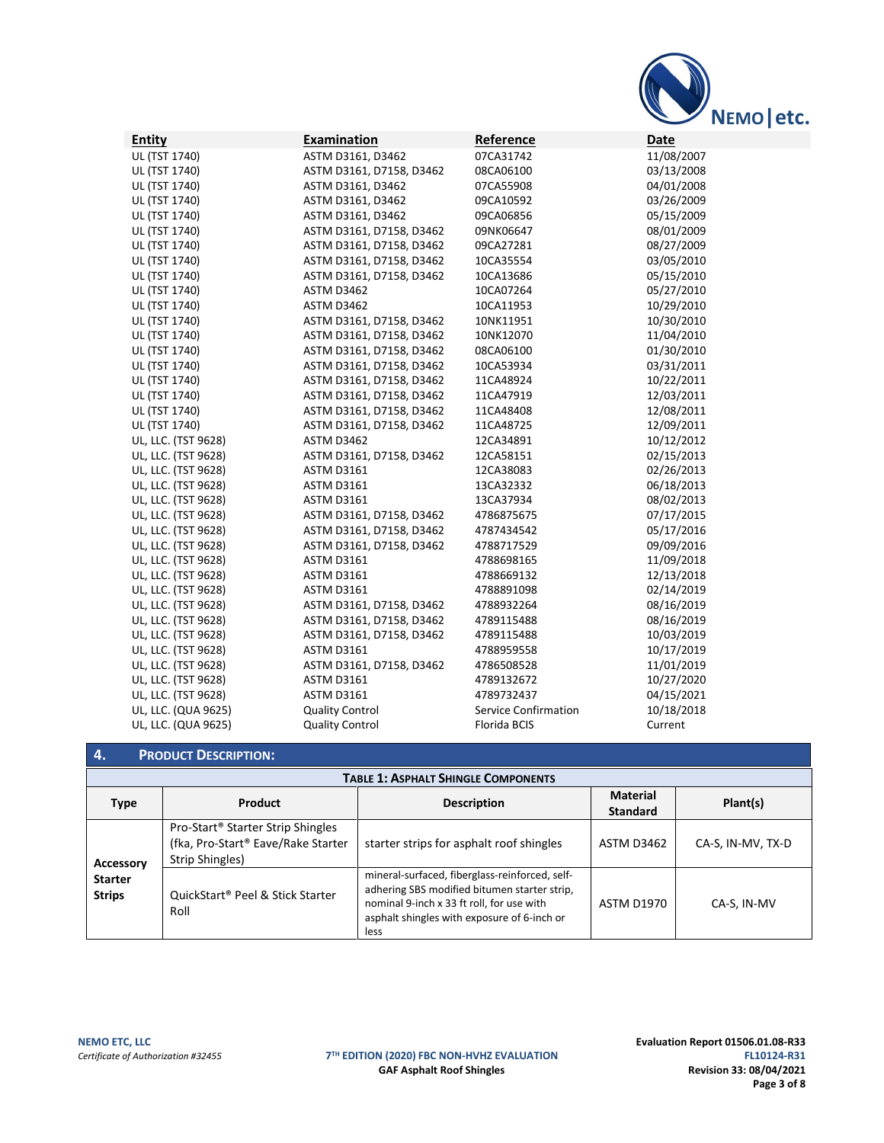

| <b>Entity</b>       | <b>Examination</b>       | Reference                   | Date       |
|---------------------|--------------------------|-----------------------------|------------|
| UL (TST 1740)       | ASTM D3161, D3462        | 07CA31742                   | 11/08/2007 |
| UL (TST 1740)       | ASTM D3161, D7158, D3462 | 08CA06100                   | 03/13/2008 |
| UL (TST 1740)       | ASTM D3161, D3462        | 07CA55908                   | 04/01/2008 |
| UL (TST 1740)       | ASTM D3161, D3462        | 09CA10592                   | 03/26/2009 |
| UL (TST 1740)       | ASTM D3161, D3462        | 09CA06856                   | 05/15/2009 |
| UL (TST 1740)       | ASTM D3161, D7158, D3462 | 09NK06647                   | 08/01/2009 |
| UL (TST 1740)       | ASTM D3161, D7158, D3462 | 09CA27281                   | 08/27/2009 |
| UL (TST 1740)       | ASTM D3161, D7158, D3462 | 10CA35554                   | 03/05/2010 |
| UL (TST 1740)       | ASTM D3161, D7158, D3462 | 10CA13686                   | 05/15/2010 |
| UL (TST 1740)       | ASTM D3462               | 10CA07264                   | 05/27/2010 |
| UL (TST 1740)       | ASTM D3462               | 10CA11953                   | 10/29/2010 |
| UL (TST 1740)       | ASTM D3161, D7158, D3462 | 10NK11951                   | 10/30/2010 |
| UL (TST 1740)       | ASTM D3161, D7158, D3462 | 10NK12070                   | 11/04/2010 |
| UL (TST 1740)       | ASTM D3161, D7158, D3462 | 08CA06100                   | 01/30/2010 |
| UL (TST 1740)       | ASTM D3161, D7158, D3462 | 10CA53934                   | 03/31/2011 |
| UL (TST 1740)       | ASTM D3161, D7158, D3462 | 11CA48924                   | 10/22/2011 |
| UL (TST 1740)       | ASTM D3161, D7158, D3462 | 11CA47919                   | 12/03/2011 |
| UL (TST 1740)       | ASTM D3161, D7158, D3462 | 11CA48408                   | 12/08/2011 |
| UL (TST 1740)       | ASTM D3161, D7158, D3462 | 11CA48725                   | 12/09/2011 |
| UL, LLC. (TST 9628) | ASTM D3462               | 12CA34891                   | 10/12/2012 |
| UL, LLC. (TST 9628) | ASTM D3161, D7158, D3462 | 12CA58151                   | 02/15/2013 |
| UL, LLC. (TST 9628) | <b>ASTM D3161</b>        | 12CA38083                   | 02/26/2013 |
| UL, LLC. (TST 9628) | <b>ASTM D3161</b>        | 13CA32332                   | 06/18/2013 |
| UL, LLC. (TST 9628) | <b>ASTM D3161</b>        | 13CA37934                   | 08/02/2013 |
| UL, LLC. (TST 9628) | ASTM D3161, D7158, D3462 | 4786875675                  | 07/17/2015 |
| UL, LLC. (TST 9628) | ASTM D3161, D7158, D3462 | 4787434542                  | 05/17/2016 |
| UL, LLC. (TST 9628) | ASTM D3161, D7158, D3462 | 4788717529                  | 09/09/2016 |
| UL, LLC. (TST 9628) | <b>ASTM D3161</b>        | 4788698165                  | 11/09/2018 |
| UL, LLC. (TST 9628) | <b>ASTM D3161</b>        | 4788669132                  | 12/13/2018 |
| UL, LLC. (TST 9628) | <b>ASTM D3161</b>        | 4788891098                  | 02/14/2019 |
| UL, LLC. (TST 9628) | ASTM D3161, D7158, D3462 | 4788932264                  | 08/16/2019 |
| UL, LLC. (TST 9628) | ASTM D3161, D7158, D3462 | 4789115488                  | 08/16/2019 |
| UL, LLC. (TST 9628) | ASTM D3161, D7158, D3462 | 4789115488                  | 10/03/2019 |
| UL, LLC. (TST 9628) | <b>ASTM D3161</b>        | 4788959558                  | 10/17/2019 |
| UL, LLC. (TST 9628) | ASTM D3161, D7158, D3462 | 4786508528                  | 11/01/2019 |
| UL, LLC. (TST 9628) | <b>ASTM D3161</b>        | 4789132672                  | 10/27/2020 |
| UL, LLC. (TST 9628) | <b>ASTM D3161</b>        | 4789732437                  | 04/15/2021 |
| UL, LLC. (QUA 9625) | <b>Quality Control</b>   | <b>Service Confirmation</b> | 10/18/2018 |
| UL, LLC. (QUA 9625) | <b>Quality Control</b>   | Florida BCIS                | Current    |

# **4. PRODUCT DESCRIPTION:**

| <b>TABLE 1: ASPHALT SHINGLE COMPONENTS</b> |                                                                                                        |                                                                                                                                                                                                    |                                    |                   |
|--------------------------------------------|--------------------------------------------------------------------------------------------------------|----------------------------------------------------------------------------------------------------------------------------------------------------------------------------------------------------|------------------------------------|-------------------|
| <b>Type</b>                                | Product                                                                                                | <b>Description</b>                                                                                                                                                                                 | <b>Material</b><br><b>Standard</b> | Plant(s)          |
| <b>Accessory</b>                           | Pro-Start <sup>®</sup> Starter Strip Shingles<br>(fka, Pro-Start® Eave/Rake Starter<br>Strip Shingles) | starter strips for asphalt roof shingles                                                                                                                                                           | ASTM D3462                         | CA-S, IN-MV, TX-D |
| <b>Starter</b><br><b>Strips</b>            | QuickStart® Peel & Stick Starter<br>Roll                                                               | mineral-surfaced, fiberglass-reinforced, self-<br>adhering SBS modified bitumen starter strip,<br>nominal 9-inch x 33 ft roll, for use with<br>asphalt shingles with exposure of 6-inch or<br>less | <b>ASTM D1970</b>                  | CA-S, IN-MV       |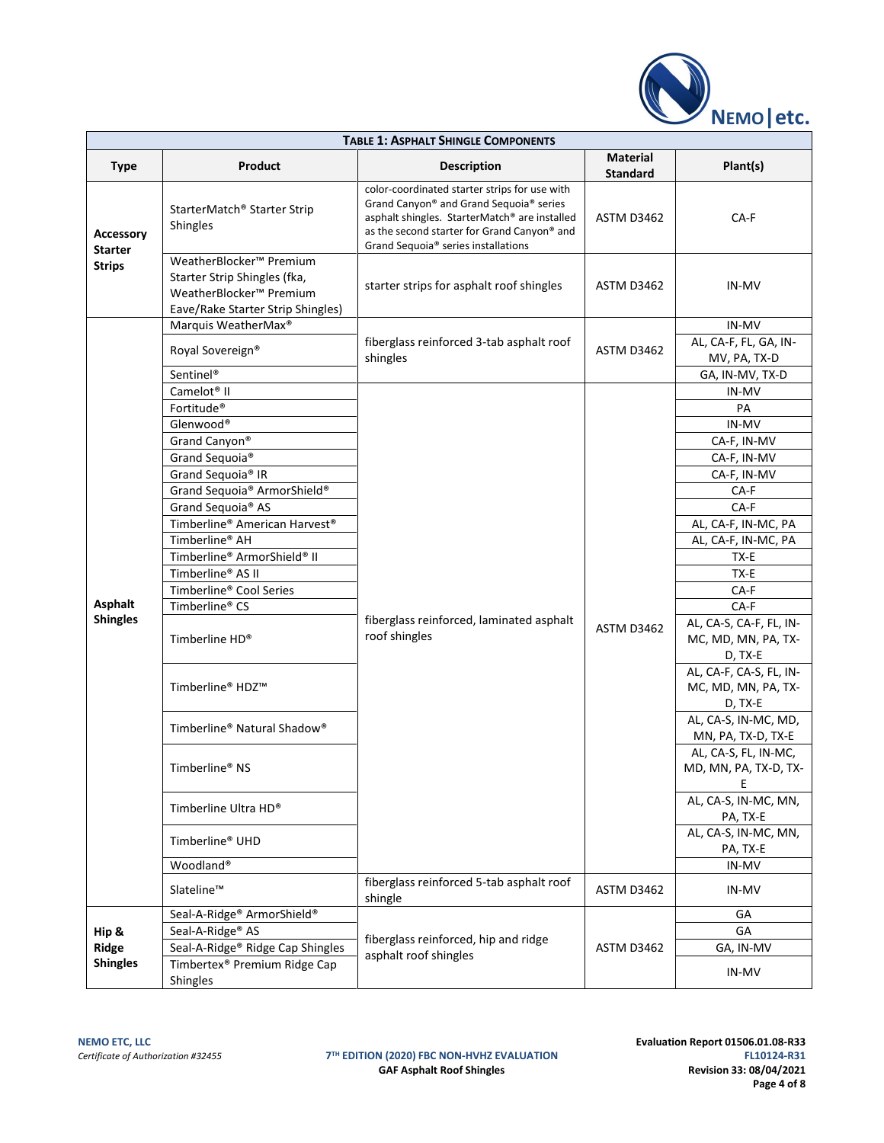

| <b>TABLE 1: ASPHALT SHINGLE COMPONENTS</b>          |                                                                                                                                                                                                                                                                                                                                                                                                                                                                               |                                                                                                                                                                                                                                 |                                    |                                                                                                                                                                                                                                                                                                                                                                                                                                                                                 |  |
|-----------------------------------------------------|-------------------------------------------------------------------------------------------------------------------------------------------------------------------------------------------------------------------------------------------------------------------------------------------------------------------------------------------------------------------------------------------------------------------------------------------------------------------------------|---------------------------------------------------------------------------------------------------------------------------------------------------------------------------------------------------------------------------------|------------------------------------|---------------------------------------------------------------------------------------------------------------------------------------------------------------------------------------------------------------------------------------------------------------------------------------------------------------------------------------------------------------------------------------------------------------------------------------------------------------------------------|--|
| <b>Type</b>                                         | Product                                                                                                                                                                                                                                                                                                                                                                                                                                                                       | <b>Description</b>                                                                                                                                                                                                              | <b>Material</b><br><b>Standard</b> | Plant(s)                                                                                                                                                                                                                                                                                                                                                                                                                                                                        |  |
| <b>Accessory</b><br><b>Starter</b><br><b>Strips</b> | StarterMatch® Starter Strip<br>Shingles                                                                                                                                                                                                                                                                                                                                                                                                                                       | color-coordinated starter strips for use with<br>Grand Canyon® and Grand Sequoia® series<br>asphalt shingles. StarterMatch® are installed<br>as the second starter for Grand Canyon® and<br>Grand Sequoia® series installations | ASTM D3462                         | CA-F                                                                                                                                                                                                                                                                                                                                                                                                                                                                            |  |
|                                                     | WeatherBlocker <sup>™</sup> Premium<br>Starter Strip Shingles (fka,<br>WeatherBlocker <sup>™</sup> Premium<br>Eave/Rake Starter Strip Shingles)                                                                                                                                                                                                                                                                                                                               | starter strips for asphalt roof shingles                                                                                                                                                                                        | ASTM D3462                         | IN-MV                                                                                                                                                                                                                                                                                                                                                                                                                                                                           |  |
|                                                     | Marquis WeatherMax <sup>®</sup><br>Royal Sovereign®<br>Sentinel <sup>®</sup>                                                                                                                                                                                                                                                                                                                                                                                                  | fiberglass reinforced 3-tab asphalt roof<br>shingles                                                                                                                                                                            | ASTM D3462                         | IN-MV<br>AL, CA-F, FL, GA, IN-<br>MV, PA, TX-D<br>GA, IN-MV, TX-D                                                                                                                                                                                                                                                                                                                                                                                                               |  |
| Asphalt<br><b>Shingles</b>                          | Camelot <sup>®</sup> II<br>Fortitude <sup>®</sup><br>Glenwood®<br>Grand Canyon®<br>Grand Sequoia®<br>Grand Sequoia® IR<br>Grand Sequoia® ArmorShield®<br>Grand Sequoia® AS<br>Timberline® American Harvest®<br>Timberline® AH<br>Timberline® ArmorShield® II<br>Timberline® AS II<br>Timberline® Cool Series<br>Timberline® CS<br>Timberline HD®<br>Timberline® HDZ™<br>Timberline® Natural Shadow®<br>Timberline® NS<br>Timberline Ultra HD®<br>Timberline® UHD<br>Woodland® | fiberglass reinforced, laminated asphalt<br>roof shingles                                                                                                                                                                       | ASTM D3462                         | IN-MV<br>PA<br>IN-MV<br>CA-F, IN-MV<br>CA-F, IN-MV<br>CA-F, IN-MV<br>CA-F<br>CA-F<br>AL, CA-F, IN-MC, PA<br>AL, CA-F, IN-MC, PA<br>TX-E<br>TX-E<br>CA-F<br>CA-F<br>AL, CA-S, CA-F, FL, IN-<br>MC, MD, MN, PA, TX-<br>D, TX-E<br>AL, CA-F, CA-S, FL, IN-<br>MC, MD, MN, PA, TX-<br>D, TX-E<br>AL, CA-S, IN-MC, MD,<br>MN, PA, TX-D, TX-E<br>AL, CA-S, FL, IN-MC,<br>MD, MN, PA, TX-D, TX-<br>E.<br>AL, CA-S, IN-MC, MN,<br>PA, TX-E<br>AL, CA-S, IN-MC, MN,<br>PA, TX-E<br>IN-MV |  |
|                                                     | Slateline™                                                                                                                                                                                                                                                                                                                                                                                                                                                                    | fiberglass reinforced 5-tab asphalt roof<br>shingle                                                                                                                                                                             | ASTM D3462                         | IN-MV                                                                                                                                                                                                                                                                                                                                                                                                                                                                           |  |
| Hip &<br>Ridge<br><b>Shingles</b>                   | Seal-A-Ridge <sup>®</sup> ArmorShield <sup>®</sup><br>Seal-A-Ridge <sup>®</sup> AS<br>Seal-A-Ridge <sup>®</sup> Ridge Cap Shingles<br>Timbertex <sup>®</sup> Premium Ridge Cap<br>Shingles                                                                                                                                                                                                                                                                                    | fiberglass reinforced, hip and ridge<br>asphalt roof shingles                                                                                                                                                                   | ASTM D3462                         | GA<br>GA<br>GA, IN-MV<br>IN-MV                                                                                                                                                                                                                                                                                                                                                                                                                                                  |  |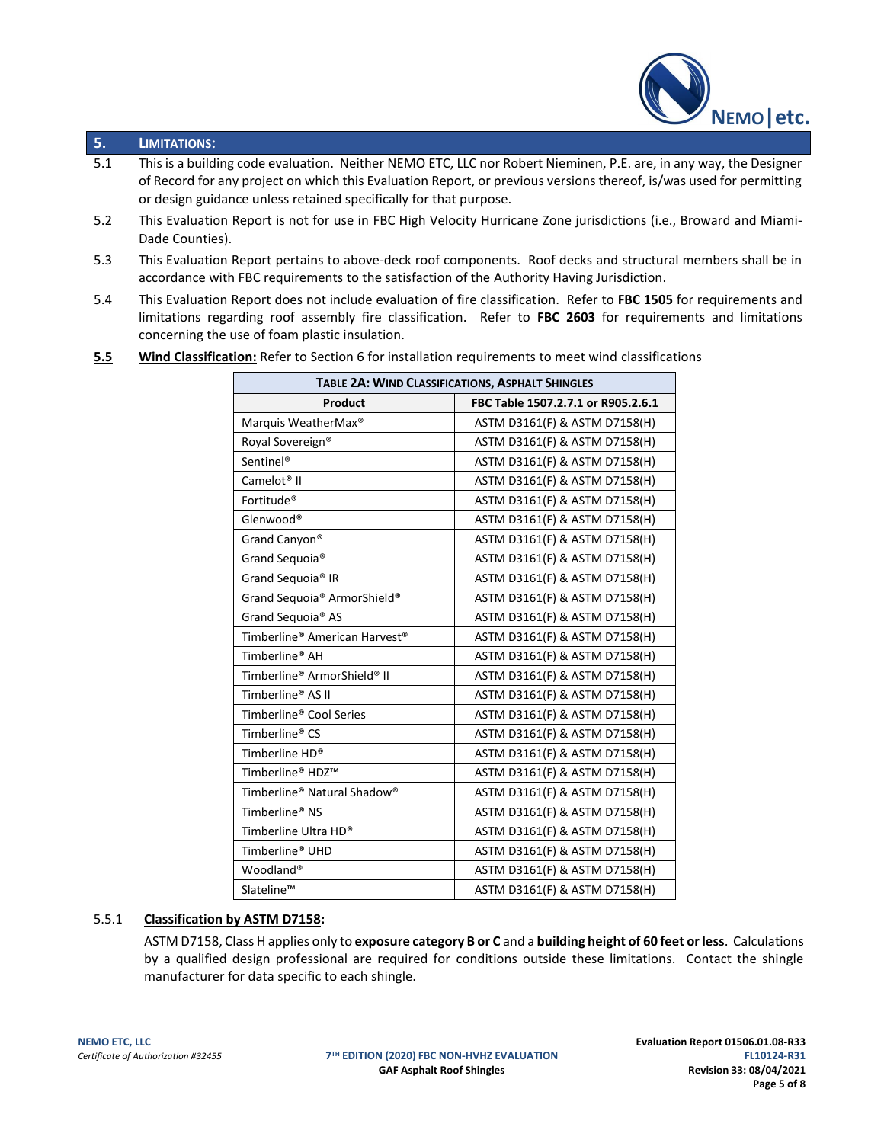

## **5. LIMITATIONS:**

- 5.1 This is a building code evaluation. Neither NEMO ETC, LLC nor Robert Nieminen, P.E. are, in any way, the Designer of Record for any project on which this Evaluation Report, or previous versions thereof, is/was used for permitting or design guidance unless retained specifically for that purpose.
- 5.2 This Evaluation Report is not for use in FBC High Velocity Hurricane Zone jurisdictions (i.e., Broward and Miami-Dade Counties).
- 5.3 This Evaluation Report pertains to above-deck roof components. Roof decks and structural members shall be in accordance with FBC requirements to the satisfaction of the Authority Having Jurisdiction.
- 5.4 This Evaluation Report does not include evaluation of fire classification. Refer to **FBC 1505** for requirements and limitations regarding roof assembly fire classification. Refer to **FBC 2603** for requirements and limitations concerning the use of foam plastic insulation.
- **5.5 Wind Classification:** Refer to Section 6 for installation requirements to meet wind classifications

| TABLE 2A: WIND CLASSIFICATIONS, ASPHALT SHINGLES    |                                    |  |  |
|-----------------------------------------------------|------------------------------------|--|--|
| Product                                             | FBC Table 1507.2.7.1 or R905.2.6.1 |  |  |
| Marquis WeatherMax <sup>®</sup>                     | ASTM D3161(F) & ASTM D7158(H)      |  |  |
| Royal Sovereign <sup>®</sup>                        | ASTM D3161(F) & ASTM D7158(H)      |  |  |
| Sentinel <sup>®</sup>                               | ASTM D3161(F) & ASTM D7158(H)      |  |  |
| Camelot <sup>®</sup> II                             | ASTM D3161(F) & ASTM D7158(H)      |  |  |
| Fortitude <sup>®</sup>                              | ASTM D3161(F) & ASTM D7158(H)      |  |  |
| Glenwood®                                           | ASTM D3161(F) & ASTM D7158(H)      |  |  |
| Grand Canyon®                                       | ASTM D3161(F) & ASTM D7158(H)      |  |  |
| Grand Sequoia®                                      | ASTM D3161(F) & ASTM D7158(H)      |  |  |
| Grand Sequoia® IR                                   | ASTM D3161(F) & ASTM D7158(H)      |  |  |
| Grand Sequoia® ArmorShield®                         | ASTM D3161(F) & ASTM D7158(H)      |  |  |
| Grand Sequoia® AS                                   | ASTM D3161(F) & ASTM D7158(H)      |  |  |
| Timberline® American Harvest®                       | ASTM D3161(F) & ASTM D7158(H)      |  |  |
| Timberline <sup>®</sup> AH                          | ASTM D3161(F) & ASTM D7158(H)      |  |  |
| Timberline® ArmorShield® II                         | ASTM D3161(F) & ASTM D7158(H)      |  |  |
| Timberline® AS II                                   | ASTM D3161(F) & ASTM D7158(H)      |  |  |
| Timberline® Cool Series                             | ASTM D3161(F) & ASTM D7158(H)      |  |  |
| Timberline® CS                                      | ASTM D3161(F) & ASTM D7158(H)      |  |  |
| Timberline HD®                                      | ASTM D3161(F) & ASTM D7158(H)      |  |  |
| Timberline® HDZ™                                    | ASTM D3161(F) & ASTM D7158(H)      |  |  |
| Timberline <sup>®</sup> Natural Shadow <sup>®</sup> | ASTM D3161(F) & ASTM D7158(H)      |  |  |
| Timberline <sup>®</sup> NS                          | ASTM D3161(F) & ASTM D7158(H)      |  |  |
| Timberline Ultra HD®                                | ASTM D3161(F) & ASTM D7158(H)      |  |  |
| Timberline <sup>®</sup> UHD                         | ASTM D3161(F) & ASTM D7158(H)      |  |  |
| Woodland <sup>®</sup>                               | ASTM D3161(F) & ASTM D7158(H)      |  |  |
| Slateline™                                          | ASTM D3161(F) & ASTM D7158(H)      |  |  |

#### 5.5.1 **Classification by ASTM D7158:**

ASTM D7158, Class H applies only to **exposure category B or C** and a **building height of 60 feet or less**. Calculations by a qualified design professional are required for conditions outside these limitations. Contact the shingle manufacturer for data specific to each shingle.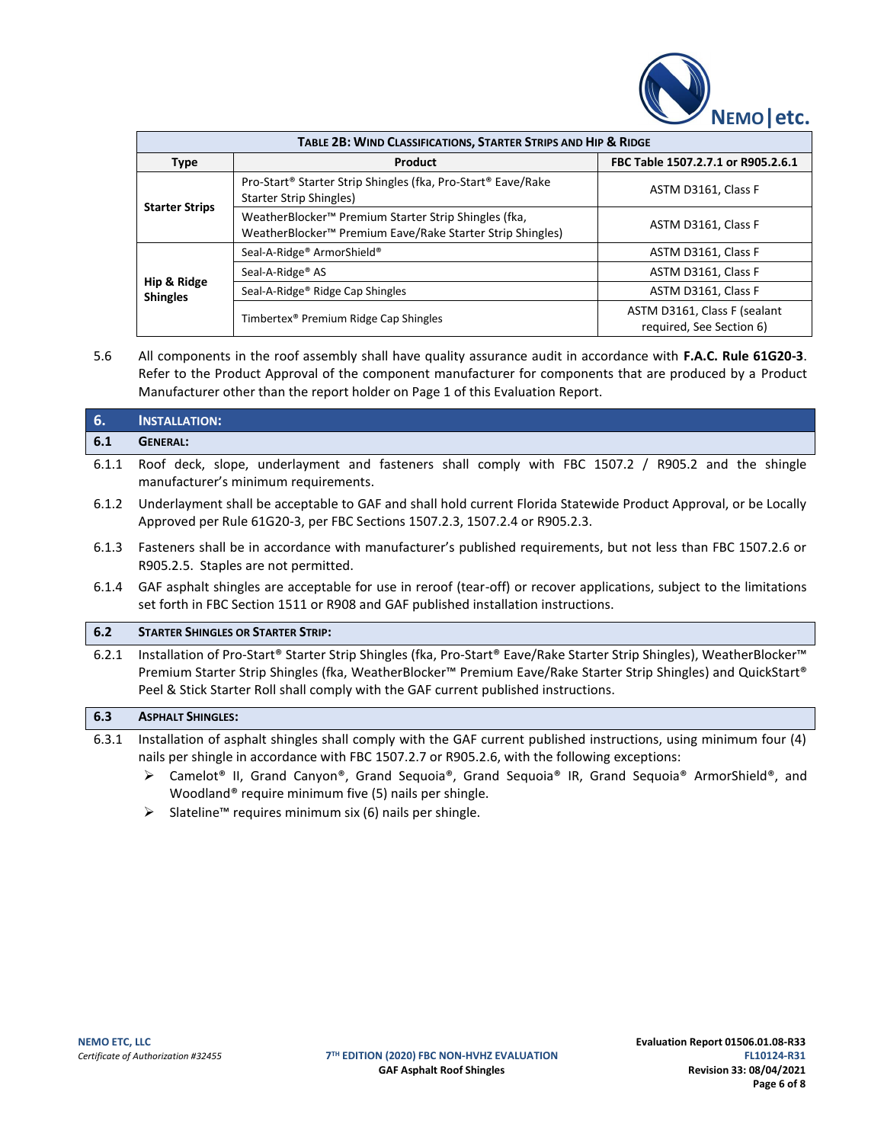

| TABLE 2B: WIND CLASSIFICATIONS, STARTER STRIPS AND HIP & RIDGE |                                                                                                                                           |                                                          |  |  |
|----------------------------------------------------------------|-------------------------------------------------------------------------------------------------------------------------------------------|----------------------------------------------------------|--|--|
| Product<br>Type                                                |                                                                                                                                           | FBC Table 1507.2.7.1 or R905.2.6.1                       |  |  |
| <b>Starter Strips</b>                                          | Pro-Start® Starter Strip Shingles (fka, Pro-Start® Eave/Rake<br><b>Starter Strip Shingles)</b>                                            | ASTM D3161, Class F                                      |  |  |
|                                                                | WeatherBlocker <sup>™</sup> Premium Starter Strip Shingles (fka,<br>WeatherBlocker <sup>™</sup> Premium Eave/Rake Starter Strip Shingles) | ASTM D3161, Class F                                      |  |  |
| Hip & Ridge<br><b>Shingles</b>                                 | Seal-A-Ridge <sup>®</sup> ArmorShield <sup>®</sup>                                                                                        | ASTM D3161, Class F                                      |  |  |
|                                                                | Seal-A-Ridge <sup>®</sup> AS                                                                                                              | ASTM D3161, Class F                                      |  |  |
|                                                                | Seal-A-Ridge <sup>®</sup> Ridge Cap Shingles                                                                                              | ASTM D3161, Class F                                      |  |  |
|                                                                | Timbertex <sup>®</sup> Premium Ridge Cap Shingles                                                                                         | ASTM D3161, Class F (sealant<br>required, See Section 6) |  |  |

5.6 All components in the roof assembly shall have quality assurance audit in accordance with **F.A.C. Rule 61G20-3**. Refer to the Product Approval of the component manufacturer for components that are produced by a Product Manufacturer other than the report holder on Page 1 of this Evaluation Report.

# **6. INSTALLATION: 6.1 GENERAL:**

- 6.1.1 Roof deck, slope, underlayment and fasteners shall comply with FBC 1507.2 / R905.2 and the shingle manufacturer's minimum requirements.
- 6.1.2 Underlayment shall be acceptable to GAF and shall hold current Florida Statewide Product Approval, or be Locally Approved per Rule 61G20-3, per FBC Sections 1507.2.3, 1507.2.4 or R905.2.3.
- 6.1.3 Fasteners shall be in accordance with manufacturer's published requirements, but not less than FBC 1507.2.6 or R905.2.5. Staples are not permitted.
- 6.1.4 GAF asphalt shingles are acceptable for use in reroof (tear-off) or recover applications, subject to the limitations set forth in FBC Section 1511 or R908 and GAF published installation instructions.

#### **6.2 STARTER SHINGLES OR STARTER STRIP:**

6.2.1 Installation of Pro-Start® Starter Strip Shingles (fka, Pro-Start® Eave/Rake Starter Strip Shingles), WeatherBlocker™ Premium Starter Strip Shingles (fka, WeatherBlocker™ Premium Eave/Rake Starter Strip Shingles) and QuickStart® Peel & Stick Starter Roll shall comply with the GAF current published instructions.

#### **6.3 ASPHALT SHINGLES:**

- 6.3.1 Installation of asphalt shingles shall comply with the GAF current published instructions, using minimum four (4) nails per shingle in accordance with FBC 1507.2.7 or R905.2.6, with the following exceptions:
	- ➢ Camelot® II, Grand Canyon®, Grand Sequoia®, Grand Sequoia® IR, Grand Sequoia® ArmorShield®, and Woodland® require minimum five (5) nails per shingle.
	- ➢ Slateline™ requires minimum six (6) nails per shingle.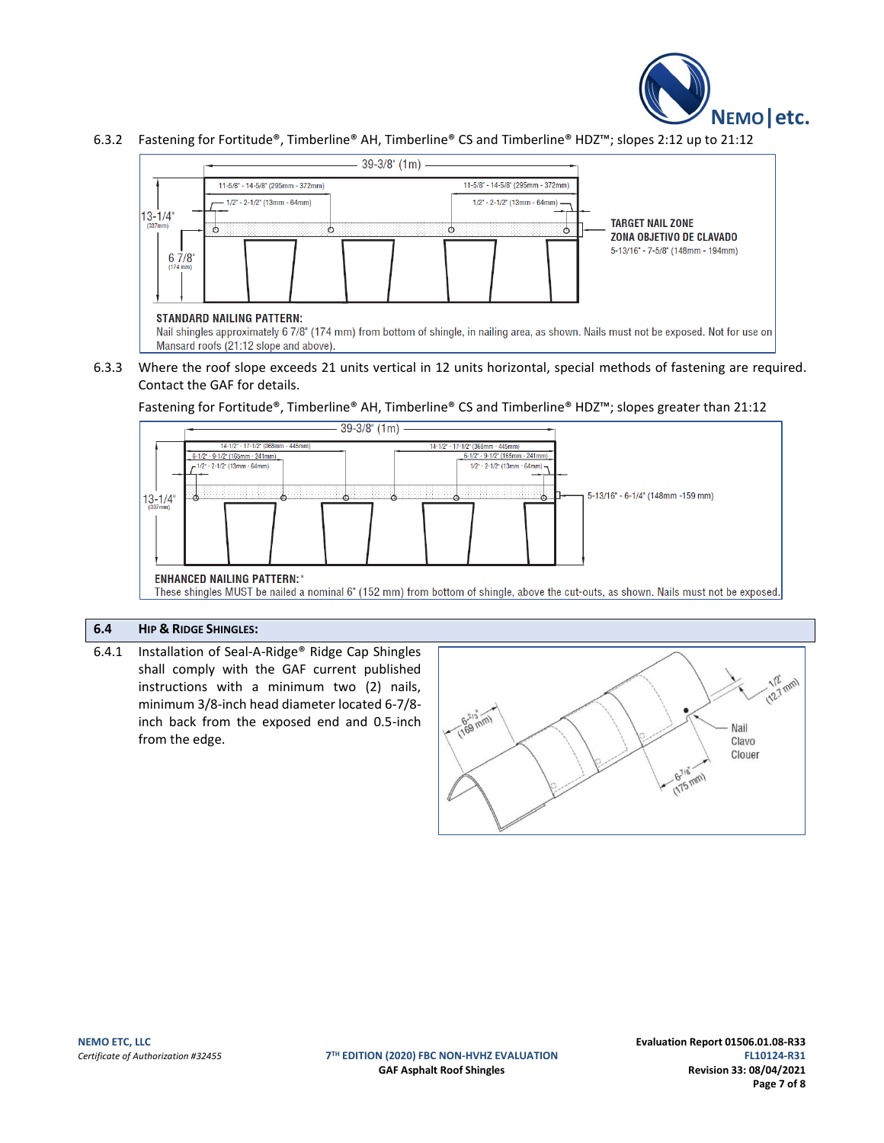

#### 6.3.2 Fastening for Fortitude®, Timberline® AH, Timberline® CS and Timberline® HDZ™; slopes 2:12 up to 21:12



Nail shingles approximately 6 7/8" (174 mm) from bottom of shingle, in nailing area, as shown. Nails must not be exposed. Not for use on Mansard roofs (21:12 slope and above).

#### 6.3.3 Where the roof slope exceeds 21 units vertical in 12 units horizontal, special methods of fastening are required. Contact the GAF for details.

Fastening for Fortitude®, Timberline® AH, Timberline® CS and Timberline® HDZ™; slopes greater than 21:12



# **6.4 HIP & RIDGE SHINGLES:**

6.4.1 Installation of Seal-A-Ridge® Ridge Cap Shingles shall comply with the GAF current published instructions with a minimum two (2) nails, minimum 3/8-inch head diameter located 6-7/8 inch back from the exposed end and 0.5-inch from the edge.



**TH EDITION (2020) FBC NON-HVHZ EVALUATION FL10124-R31**

**NEMO ETC, LLC Evaluation Report 01506.01.08-R33** GAF Asphalt Roof Shingles **Revision 33: 08/04/2021 Page 7 of 8**